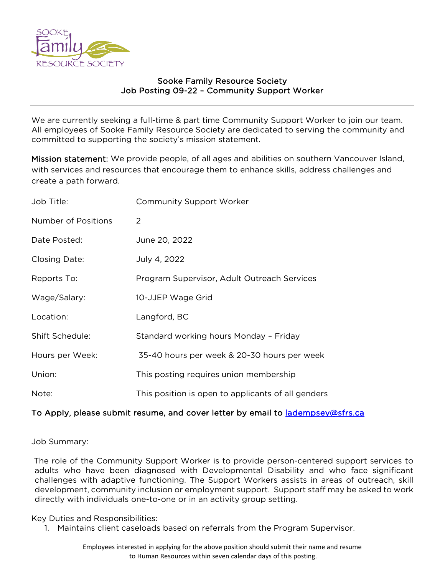

## Sooke Family Resource Society Job Posting 09-22 – Community Support Worker

We are currently seeking a full-time & part time Community Support Worker to join our team. All employees of Sooke Family Resource Society are dedicated to serving the community and committed to supporting the society's mission statement.

Mission statement: We provide people, of all ages and abilities on southern Vancouver Island, with services and resources that encourage them to enhance skills, address challenges and create a path forward.

| Job Title:             | <b>Community Support Worker</b>                    |
|------------------------|----------------------------------------------------|
| Number of Positions    | 2                                                  |
| Date Posted:           | June 20, 2022                                      |
| <b>Closing Date:</b>   | July 4, 2022                                       |
| Reports To:            | Program Supervisor, Adult Outreach Services        |
| Wage/Salary:           | 10-JJEP Wage Grid                                  |
| Location:              | Langford, BC                                       |
| <b>Shift Schedule:</b> | Standard working hours Monday - Friday             |
| Hours per Week:        | 35-40 hours per week & 20-30 hours per week        |
| Union:                 | This posting requires union membership             |
| Note:                  | This position is open to applicants of all genders |

## To Apply, please submit resume, and cover letter by email to ladempsey@sfrs.ca

Job Summary:

The role of the Community Support Worker is to provide person-centered support services to adults who have been diagnosed with Developmental Disability and who face significant challenges with adaptive functioning. The Support Workers assists in areas of outreach, skill development, community inclusion or employment support. Support staff may be asked to work directly with individuals one-to-one or in an activity group setting.

Key Duties and Responsibilities:

1. Maintains client caseloads based on referrals from the Program Supervisor.

Employees interested in applying for the above position should submit their name and resume to Human Resources within seven calendar days of this posting.